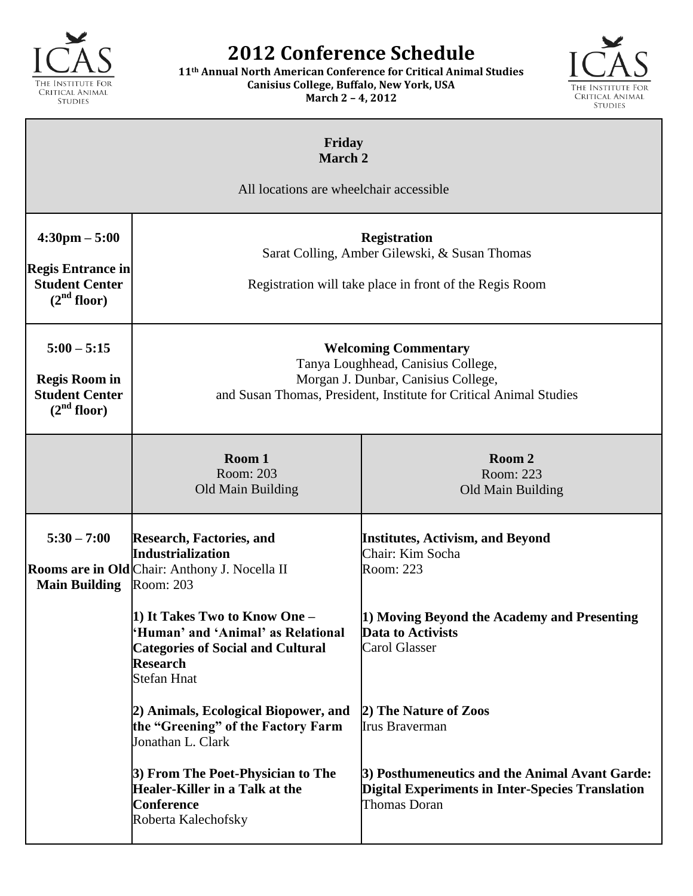

## **2012 Conference Schedule**

**11th Annual North American Conference for Critical Animal Studies Canisius College, Buffalo, New York, USA March 2 – 4, 2012**



| Friday<br><b>March 2</b><br>All locations are wheelchair accessible                                     |                                                                                                                                                                                                                                                                                      |                                                                                                                                                                             |  |
|---------------------------------------------------------------------------------------------------------|--------------------------------------------------------------------------------------------------------------------------------------------------------------------------------------------------------------------------------------------------------------------------------------|-----------------------------------------------------------------------------------------------------------------------------------------------------------------------------|--|
| $4:30 \text{pm} - 5:00$<br><b>Regis Entrance in</b><br><b>Student Center</b><br>(2 <sup>nd</sup> floor) | <b>Registration</b><br>Sarat Colling, Amber Gilewski, & Susan Thomas<br>Registration will take place in front of the Regis Room                                                                                                                                                      |                                                                                                                                                                             |  |
| $5:00 - 5:15$<br><b>Regis Room in</b><br><b>Student Center</b><br>(2 <sup>nd</sup> floor)               | <b>Welcoming Commentary</b><br>Tanya Loughhead, Canisius College,<br>Morgan J. Dunbar, Canisius College,<br>and Susan Thomas, President, Institute for Critical Animal Studies                                                                                                       |                                                                                                                                                                             |  |
|                                                                                                         | Room 1<br>Room: 203<br>Old Main Building                                                                                                                                                                                                                                             | Room 2<br>Room: 223<br>Old Main Building                                                                                                                                    |  |
| $5:30 - 7:00$<br><b>Main Building</b>                                                                   | <b>Research, Factories, and</b><br><b>Industrialization</b><br>Rooms are in Old Chair: Anthony J. Nocella II<br>Room: 203<br>1) It Takes Two to Know One -<br>Human' and 'Animal' as Relational<br><b>Categories of Social and Cultural</b><br><b>Research</b><br><b>Stefan Hnat</b> | <b>Institutes, Activism, and Beyond</b><br>Chair: Kim Socha<br>Room: 223<br>1) Moving Beyond the Academy and Presenting<br>Data to Activists<br><b>Carol Glasser</b>        |  |
|                                                                                                         | 2) Animals, Ecological Biopower, and<br>the "Greening" of the Factory Farm<br>Jonathan L. Clark<br>3) From The Poet-Physician to The<br>Healer-Killer in a Talk at the<br><b>Conference</b><br>Roberta Kalechofsky                                                                   | 2) The Nature of Zoos<br>Irus Braverman<br>3) Posthumeneutics and the Animal Avant Garde:<br><b>Digital Experiments in Inter-Species Translation</b><br><b>Thomas Doran</b> |  |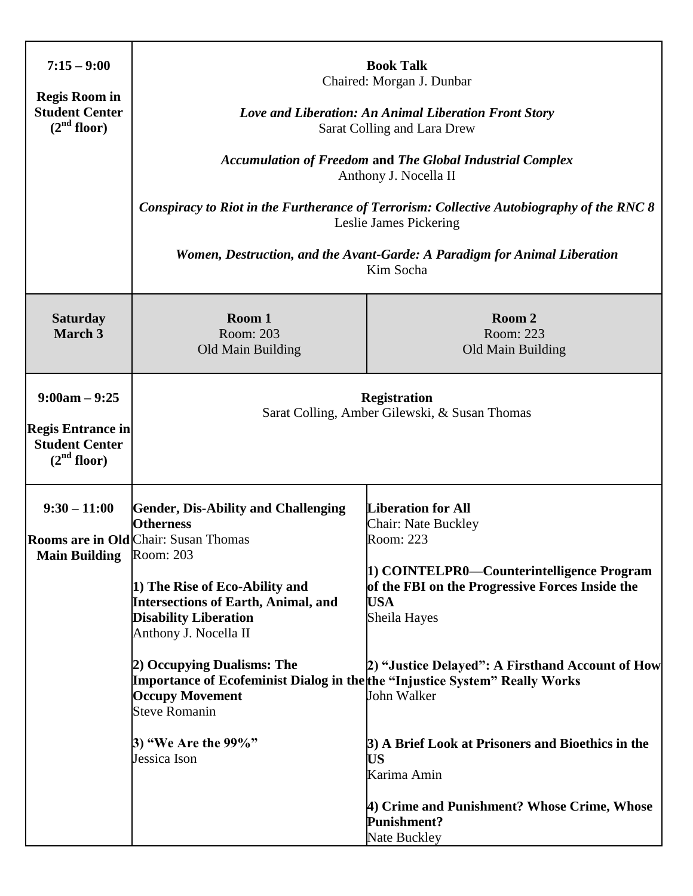| $7:15 - 9:00$<br><b>Regis Room in</b><br><b>Student Center</b><br>(2 <sup>nd</sup> floor)       | <b>Book Talk</b><br>Chaired: Morgan J. Dunbar<br>Love and Liberation: An Animal Liberation Front Story<br>Sarat Colling and Lara Drew<br><b>Accumulation of Freedom and The Global Industrial Complex</b><br>Anthony J. Nocella II<br>Conspiracy to Riot in the Furtherance of Terrorism: Collective Autobiography of the RNC 8<br>Leslie James Pickering<br>Women, Destruction, and the Avant-Garde: A Paradigm for Animal Liberation<br>Kim Socha                 |                                                                                                                                                                                                                                                                                                                                                                                                                                      |  |
|-------------------------------------------------------------------------------------------------|---------------------------------------------------------------------------------------------------------------------------------------------------------------------------------------------------------------------------------------------------------------------------------------------------------------------------------------------------------------------------------------------------------------------------------------------------------------------|--------------------------------------------------------------------------------------------------------------------------------------------------------------------------------------------------------------------------------------------------------------------------------------------------------------------------------------------------------------------------------------------------------------------------------------|--|
| <b>Saturday</b><br><b>March 3</b>                                                               | Room 1<br>Room: 203<br>Old Main Building                                                                                                                                                                                                                                                                                                                                                                                                                            | Room 2<br>Room: 223<br>Old Main Building                                                                                                                                                                                                                                                                                                                                                                                             |  |
| $9:00am - 9:25$<br><b>Regis Entrance in</b><br><b>Student Center</b><br>(2 <sup>nd</sup> floor) | <b>Registration</b><br>Sarat Colling, Amber Gilewski, & Susan Thomas                                                                                                                                                                                                                                                                                                                                                                                                |                                                                                                                                                                                                                                                                                                                                                                                                                                      |  |
| $9:30 - 11:00$<br>Main Building Room: 203                                                       | <b>Gender, Dis-Ability and Challenging</b><br><b>Otherness</b><br><b>Rooms are in Old Chair: Susan Thomas</b><br>1) The Rise of Eco-Ability and<br><b>Intersections of Earth, Animal, and</b><br><b>Disability Liberation</b><br>Anthony J. Nocella II<br>2) Occupying Dualisms: The<br><b>Importance of Ecofeminist Dialog in the the "Injustice System" Really Works</b><br><b>Occupy Movement</b><br><b>Steve Romanin</b><br>3) "We Are the 99%"<br>Jessica Ison | <b>Liberation for All</b><br>Chair: Nate Buckley<br>Room: 223<br>1) COINTELPR0—Counterintelligence Program<br>of the FBI on the Progressive Forces Inside the<br><b>USA</b><br>Sheila Hayes<br>2) "Justice Delayed": A Firsthand Account of How<br>John Walker<br>3) A Brief Look at Prisoners and Bioethics in the<br><b>US</b><br>Karima Amin<br>4) Crime and Punishment? Whose Crime, Whose<br><b>Punishment?</b><br>Nate Buckley |  |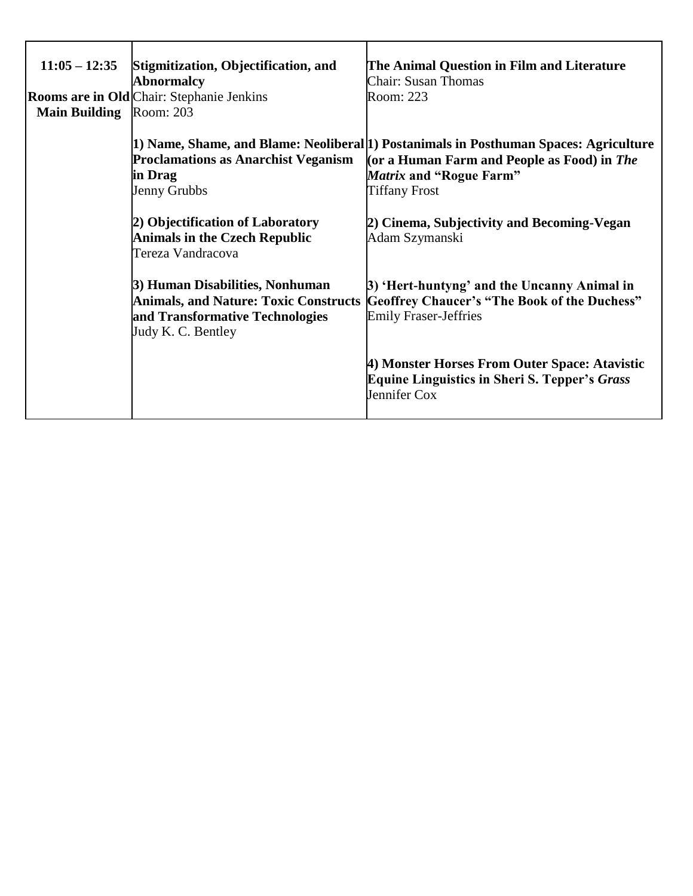| $11:05 - 12:35$<br><b>Main Building</b> | Stigmitization, Objectification, and<br><b>Abnormalcy</b><br><b>Rooms are in Old Chair: Stephanie Jenkins</b><br>Room: 203 | The Animal Question in Film and Literature<br><b>Chair: Susan Thomas</b><br>Room: 223                                                                              |
|-----------------------------------------|----------------------------------------------------------------------------------------------------------------------------|--------------------------------------------------------------------------------------------------------------------------------------------------------------------|
|                                         |                                                                                                                            | 1) Name, Shame, and Blame: Neoliberal [1] Postanimals in Posthuman Spaces: Agriculture                                                                             |
|                                         | <b>Proclamations as Anarchist Veganism</b>                                                                                 | (or a Human Farm and People as Food) in The                                                                                                                        |
|                                         | in Drag                                                                                                                    | Matrix and "Rogue Farm"                                                                                                                                            |
|                                         | Jenny Grubbs                                                                                                               | <b>Tiffany Frost</b>                                                                                                                                               |
|                                         | 2) Objectification of Laboratory                                                                                           | 2) Cinema, Subjectivity and Becoming-Vegan                                                                                                                         |
|                                         | <b>Animals in the Czech Republic</b>                                                                                       | Adam Szymanski                                                                                                                                                     |
|                                         | Tereza Vandracova                                                                                                          |                                                                                                                                                                    |
|                                         | 3) Human Disabilities, Nonhuman<br>and Transformative Technologies<br>Judy K. C. Bentley                                   | 3) 'Hert-huntyng' and the Uncanny Animal in<br>Animals, and Nature: Toxic Constructs  Geoffrey Chaucer's "The Book of the Duchess"<br><b>Emily Fraser-Jeffries</b> |
|                                         |                                                                                                                            | 4) Monster Horses From Outer Space: Atavistic<br><b>Equine Linguistics in Sheri S. Tepper's Grass</b><br>Jennifer Cox                                              |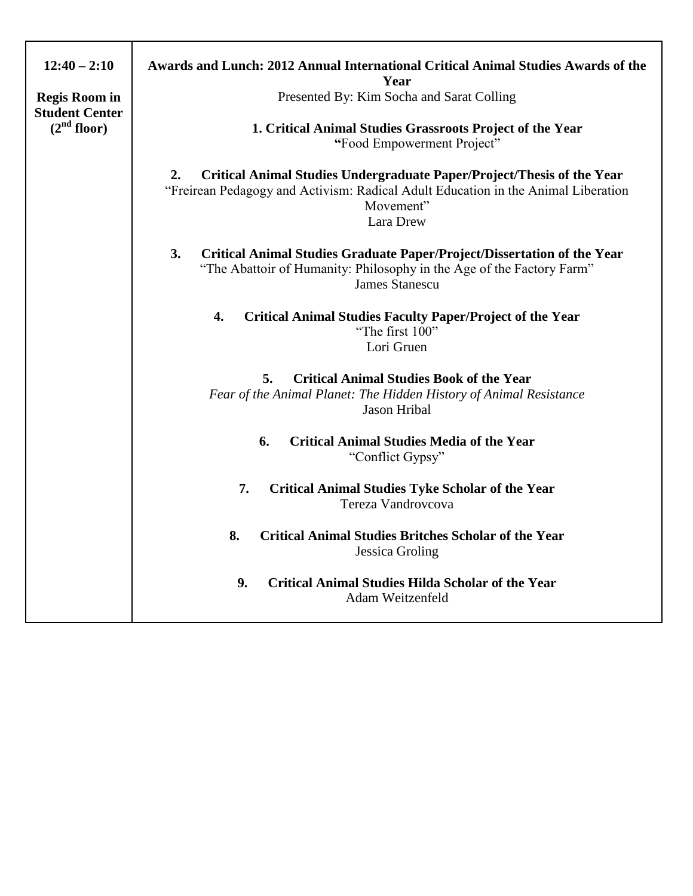| $12:40 - 2:10$<br><b>Regis Room in</b><br><b>Student Center</b><br>(2 <sup>nd</sup> floor) | Awards and Lunch: 2012 Annual International Critical Animal Studies Awards of the<br>Year<br>Presented By: Kim Socha and Sarat Colling<br>1. Critical Animal Studies Grassroots Project of the Year<br>"Food Empowerment Project" |  |  |
|--------------------------------------------------------------------------------------------|-----------------------------------------------------------------------------------------------------------------------------------------------------------------------------------------------------------------------------------|--|--|
|                                                                                            | Critical Animal Studies Undergraduate Paper/Project/Thesis of the Year<br>2.<br>"Freirean Pedagogy and Activism: Radical Adult Education in the Animal Liberation<br>Movement"<br>Lara Drew                                       |  |  |
|                                                                                            | 3.<br>Critical Animal Studies Graduate Paper/Project/Dissertation of the Year<br>"The Abattoir of Humanity: Philosophy in the Age of the Factory Farm"<br><b>James Stanescu</b>                                                   |  |  |
|                                                                                            | 4.<br><b>Critical Animal Studies Faculty Paper/Project of the Year</b><br>"The first 100"<br>Lori Gruen                                                                                                                           |  |  |
|                                                                                            | <b>Critical Animal Studies Book of the Year</b><br>5.<br>Fear of the Animal Planet: The Hidden History of Animal Resistance<br>Jason Hribal                                                                                       |  |  |
|                                                                                            | <b>Critical Animal Studies Media of the Year</b><br>6.<br>"Conflict Gypsy"                                                                                                                                                        |  |  |
|                                                                                            | 7.<br><b>Critical Animal Studies Tyke Scholar of the Year</b><br>Tereza Vandrovcova                                                                                                                                               |  |  |
|                                                                                            | 8.<br><b>Critical Animal Studies Britches Scholar of the Year</b><br><b>Jessica Groling</b>                                                                                                                                       |  |  |
|                                                                                            | 9.<br><b>Critical Animal Studies Hilda Scholar of the Year</b><br>Adam Weitzenfeld                                                                                                                                                |  |  |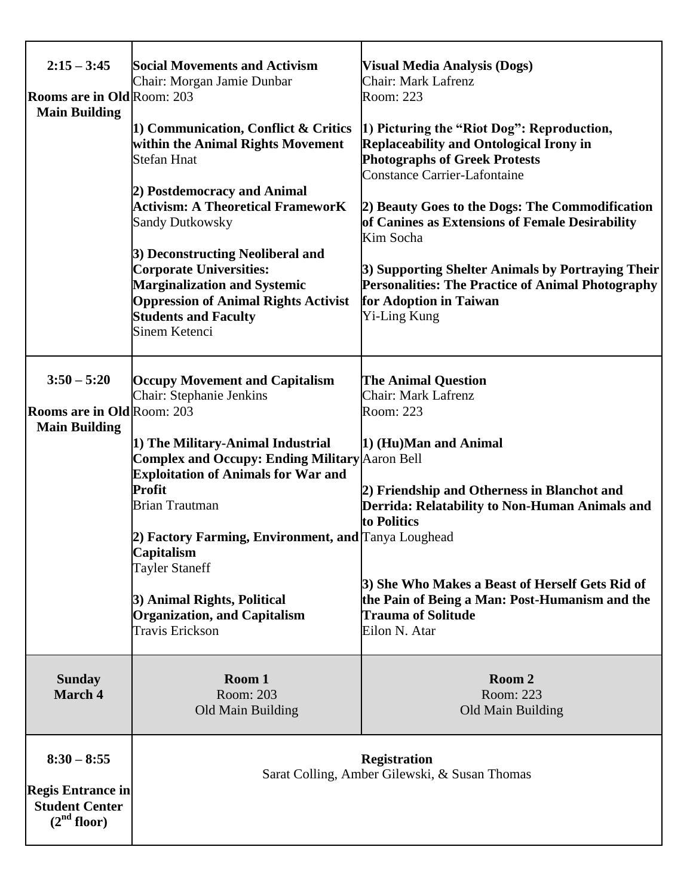| $2:15 - 3:45$<br>Rooms are in Old Room: 203<br><b>Main Building</b>                           | <b>Social Movements and Activism</b><br>Chair: Morgan Jamie Dunbar<br>1) Communication, Conflict & Critics<br>within the Animal Rights Movement<br><b>Stefan Hnat</b><br>2) Postdemocracy and Animal<br><b>Activism: A Theoretical FrameworK</b><br><b>Sandy Dutkowsky</b><br>3) Deconstructing Neoliberal and<br><b>Corporate Universities:</b>                                                                                        | <b>Visual Media Analysis (Dogs)</b><br>Chair: Mark Lafrenz<br>Room: 223<br>[1] Picturing the "Riot Dog": Reproduction,<br><b>Replaceability and Ontological Irony in</b><br><b>Photographs of Greek Protests</b><br><b>Constance Carrier-Lafontaine</b><br>2) Beauty Goes to the Dogs: The Commodification<br>of Canines as Extensions of Female Desirability<br>Kim Socha<br>3) Supporting Shelter Animals by Portraying Their |  |
|-----------------------------------------------------------------------------------------------|-----------------------------------------------------------------------------------------------------------------------------------------------------------------------------------------------------------------------------------------------------------------------------------------------------------------------------------------------------------------------------------------------------------------------------------------|---------------------------------------------------------------------------------------------------------------------------------------------------------------------------------------------------------------------------------------------------------------------------------------------------------------------------------------------------------------------------------------------------------------------------------|--|
|                                                                                               | <b>Marginalization and Systemic</b><br><b>Oppression of Animal Rights Activist</b><br><b>Students and Faculty</b><br>Sinem Ketenci                                                                                                                                                                                                                                                                                                      | Personalities: The Practice of Animal Photography<br>for Adoption in Taiwan<br><b>Yi-Ling Kung</b>                                                                                                                                                                                                                                                                                                                              |  |
| $3:50 - 5:20$<br><b>Rooms are in Old Room: 203</b><br><b>Main Building</b>                    | <b>Occupy Movement and Capitalism</b><br>Chair: Stephanie Jenkins<br>1) The Military-Animal Industrial<br><b>Complex and Occupy: Ending Military Aaron Bell</b><br><b>Exploitation of Animals for War and</b><br>Profit<br><b>Brian Trautman</b><br>2) Factory Farming, Environment, and Tanya Loughead<br>Capitalism<br><b>Tayler Staneff</b><br>3) Animal Rights, Political<br><b>Organization, and Capitalism</b><br>Travis Erickson | <b>The Animal Question</b><br><b>Chair: Mark Lafrenz</b><br>Room: 223<br>1) (Hu)Man and Animal<br>2) Friendship and Otherness in Blanchot and<br>Derrida: Relatability to Non-Human Animals and<br>to Politics<br>3) She Who Makes a Beast of Herself Gets Rid of<br>the Pain of Being a Man: Post-Humanism and the<br><b>Trauma of Solitude</b><br>Eilon N. Atar                                                               |  |
| <b>Sunday</b><br>March 4                                                                      | Room 1<br>Room: 203<br>Old Main Building                                                                                                                                                                                                                                                                                                                                                                                                | Room 2<br>Room: 223<br>Old Main Building                                                                                                                                                                                                                                                                                                                                                                                        |  |
| $8:30 - 8:55$<br><b>Regis Entrance in</b><br><b>Student Center</b><br>(2 <sup>nd</sup> floor) |                                                                                                                                                                                                                                                                                                                                                                                                                                         | <b>Registration</b><br>Sarat Colling, Amber Gilewski, & Susan Thomas                                                                                                                                                                                                                                                                                                                                                            |  |

T

т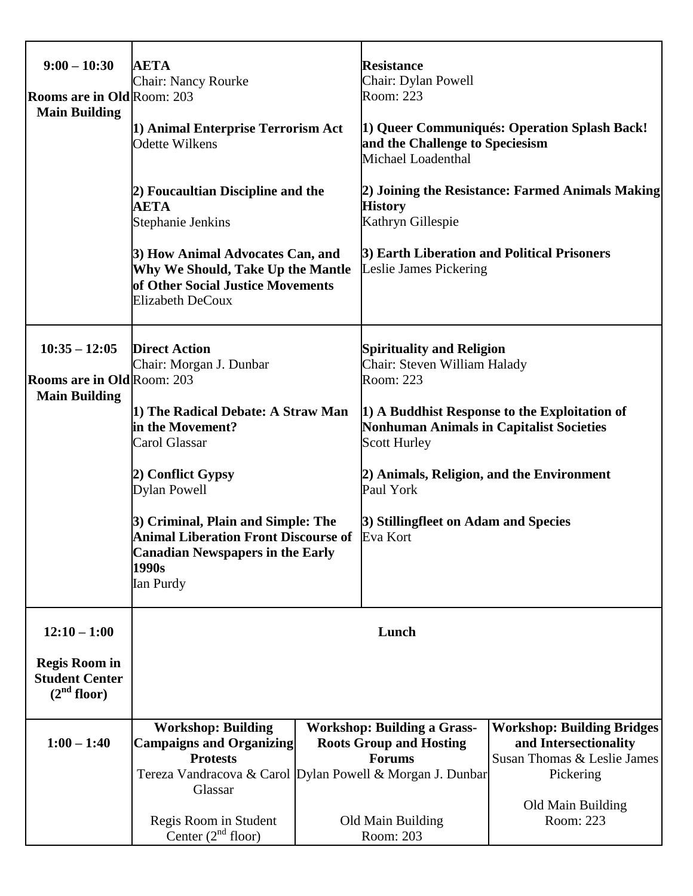| $9:00 - 10:30$<br><b>Rooms are in Old Room: 203</b><br><b>Main Building</b>                | <b>AETA</b><br><b>Chair: Nancy Rourke</b><br>1) Animal Enterprise Terrorism Act<br><b>Odette Wilkens</b><br>2) Foucaultian Discipline and the<br><b>AETA</b><br>Stephanie Jenkins<br>3) How Animal Advocates Can, and<br>Why We Should, Take Up the Mantle<br>of Other Social Justice Movements<br><b>Elizabeth DeCoux</b>                   |  | <b>Resistance</b><br>Chair: Dylan Powell<br>Room: 223<br>and the Challenge to Speciesism<br>Michael Loadenthal<br><b>History</b><br>Kathryn Gillespie<br>3) Earth Liberation and Political Prisoners<br><b>Leslie James Pickering</b>                     | 1) Queer Communiqués: Operation Splash Back!<br>2) Joining the Resistance: Farmed Animals Making                                         |
|--------------------------------------------------------------------------------------------|----------------------------------------------------------------------------------------------------------------------------------------------------------------------------------------------------------------------------------------------------------------------------------------------------------------------------------------------|--|-----------------------------------------------------------------------------------------------------------------------------------------------------------------------------------------------------------------------------------------------------------|------------------------------------------------------------------------------------------------------------------------------------------|
| $10:35 - 12:05$<br><b>Rooms are in Old Room: 203</b><br><b>Main Building</b>               | <b>Direct Action</b><br>Chair: Morgan J. Dunbar<br>1) The Radical Debate: A Straw Man<br>in the Movement?<br>Carol Glassar<br>2) Conflict Gypsy<br><b>Dylan Powell</b><br>3) Criminal, Plain and Simple: The<br><b>Animal Liberation Front Discourse of Eva Kort</b><br><b>Canadian Newspapers in the Early</b><br>1990s<br><b>Ian Purdy</b> |  | <b>Spirituality and Religion</b><br>Chair: Steven William Halady<br>Room: 223<br><b>Nonhuman Animals in Capitalist Societies</b><br><b>Scott Hurley</b><br>2) Animals, Religion, and the Environment<br>Paul York<br>3) Stillingfleet on Adam and Species | 1) A Buddhist Response to the Exploitation of                                                                                            |
| $12:10 - 1:00$<br><b>Regis Room in</b><br><b>Student Center</b><br>(2 <sup>nd</sup> floor) | Lunch                                                                                                                                                                                                                                                                                                                                        |  |                                                                                                                                                                                                                                                           |                                                                                                                                          |
| $1:00 - 1:40$                                                                              | <b>Workshop: Building</b><br><b>Campaigns and Organizing</b><br><b>Protests</b><br>Tereza Vandracova & Carol Dylan Powell & Morgan J. Dunbar<br>Glassar<br>Regis Room in Student<br>Center $(2nd$ floor)                                                                                                                                     |  | <b>Workshop: Building a Grass-</b><br><b>Roots Group and Hosting</b><br><b>Forums</b><br>Old Main Building<br>Room: 203                                                                                                                                   | <b>Workshop: Building Bridges</b><br>and Intersectionality<br>Susan Thomas & Leslie James<br>Pickering<br>Old Main Building<br>Room: 223 |